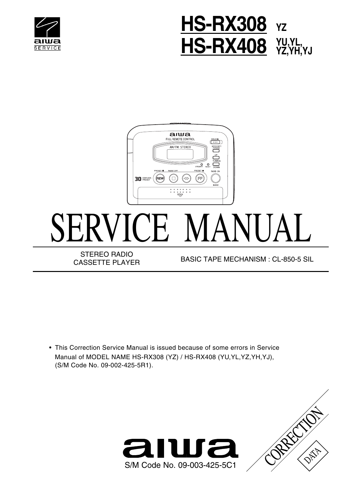





• This Correction Service Manual is issued because of some errors in Service Manual of MODEL NAME HS-RX308 (YZ) / HS-RX408 (YU,YL,YZ,YH,YJ), (S/M Code No. 09-002-425-5R1).



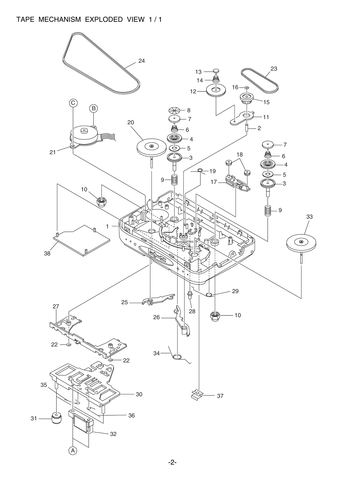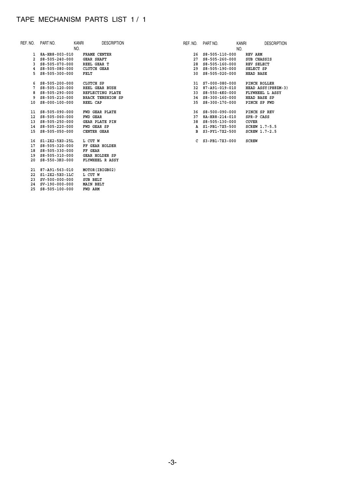## TAPE MECHANISM PARTS LIST 1 / 1

 **23 SV-500-000-000 SUB BELT 24 SV-190-000-000 MAIN BELT 25 S8-505-100-000 FWD ARM**

| REF. NO. | PART NO.                   | <b>DESCRIPTION</b><br>KANRI | REF. NO. | PART NO.                   | kanri | <b>DESCRIPTION</b>  |
|----------|----------------------------|-----------------------------|----------|----------------------------|-------|---------------------|
|          |                            | NO.                         |          |                            | NO.   |                     |
|          | 1 8A-HR8-003-010           | FRAME CENTER                |          | 26 S8-505-110-000          |       | REV ARM             |
|          | $2$ S8-505-240-000         | <b>GEAR SHAFT</b>           |          | 27 S8-505-260-000          |       | SUB CHASSIS         |
|          | $3$ $$8 - 505 - 070 - 000$ | REEL GEAR T                 |          | 28 S8-505-160-000          |       | REV SELECT          |
|          | $4$ S8-505-080-000         | CLUTCH GEAR                 |          | 29 S8-505-190-000          |       | SELECT SP           |
|          | $5$ $S8 - 505 - 300 - 000$ | <b>FELT</b>                 |          | 30 S8-505-020-000          |       | <b>HEAD BASE</b>    |
|          | $6$ $S8 - 505 - 200 - 000$ | CLUTCH SP                   |          | 31 S7-000-080-000          |       | PINCH ROLLER        |
|          | $7$ S8-505-120-000         | REEL GEAR BUSH              |          | 32 87-A91-019-010          |       | HEAD ASSY (PH8ZM-3) |
|          | 8 S8-505-290-000           | REFLECTING PLATE            |          | 33 S8-550-4K0-000          |       | FLYWHEEL L ASSY     |
| 9        | S8-505-210-000             | <b>BRACK TENSHION SP</b>    |          | 34 S8-300-160-000          |       | HEAD BASE SP        |
| 10       | $S8 - 000 - 100 - 000$     | REEL CAP                    |          | 35 S8-300-170-000          |       | PINCH SP FWD        |
|          | 11 S8-505-090-000          | FWD GEAR PLATE              |          | 36 S8-500-090-000          |       | PINCH SP REV        |
|          | 12 S8-505-060-000          | <b>FWD GEAR</b>             |          | 37 8A-HR8-214-010          |       | SPR-P CASS          |
|          | 13 S8-505-250-000          | <b>GEAR PLATE PIN</b>       |          | 38 S8-505-130-000          |       | COVER               |
|          | 14 S8-505-220-000          | FWD GEAR SP                 |          | A S1-PB1-7X5-500           |       | SCREW 1.7-5.5       |
|          | 15 S8-505-050-000          | <b>CENTER GEAR</b>          |          | B S3-PY1-7X2-500           |       | SCREW 1.7-2.5       |
|          | 16 S1-2X2-5X0-25L          | L CUT W                     |          | $C$ $S3 - PB1 - 7X3 - 000$ |       | <b>SCREW</b>        |
|          | 17 S8-505-320-000          | FF GEAR HOLDER              |          |                            |       |                     |
|          | 18 S8-505-330-000          | FF GEAR                     |          |                            |       |                     |
|          | 19 S8-505-310-000          | <b>GEAR HOLDER SP</b>       |          |                            |       |                     |
| 20       | S8-550-3K0-000             | FLYWHEEL R ASSY             |          |                            |       |                     |
| 21       | 87-A91-563-010             | MOTOR (IBIGB02)             |          |                            |       |                     |
| 22       | S1-2X2-5X0-1LC             | L CUT W                     |          |                            |       |                     |